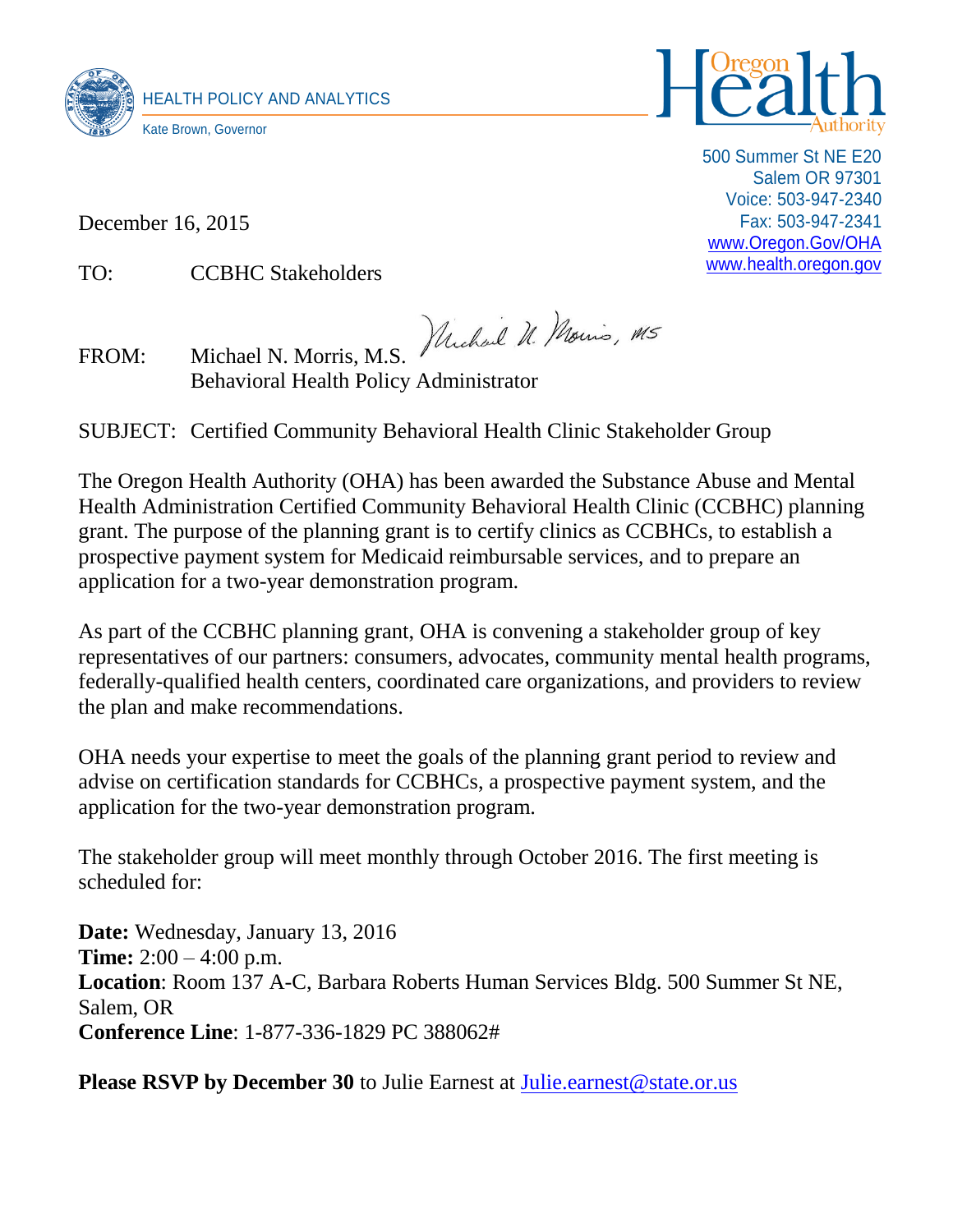



500 Summer St NE E20 Salem OR 97301 Voice: 503-947-2340 Fax: 503-947-2341 [www.Oregon.Gov/OHA](http://www.oregon.gov/OHA) [www.health.oregon.gov](http://www.health.oregon.gov/)

December 16, 2015

TO: CCBHC Stakeholders

FROM: Michael N. Morris, M.S. *Muchael U. Nouris, M5* Behavioral Health Policy Administrator

SUBJECT: Certified Community Behavioral Health Clinic Stakeholder Group

The Oregon Health Authority (OHA) has been awarded the Substance Abuse and Mental Health Administration Certified Community Behavioral Health Clinic (CCBHC) planning grant. The purpose of the planning grant is to certify clinics as CCBHCs, to establish a prospective payment system for Medicaid reimbursable services, and to prepare an application for a two-year demonstration program.

As part of the CCBHC planning grant, OHA is convening a stakeholder group of key representatives of our partners: consumers, advocates, community mental health programs, federally-qualified health centers, coordinated care organizations, and providers to review the plan and make recommendations.

OHA needs your expertise to meet the goals of the planning grant period to review and advise on certification standards for CCBHCs, a prospective payment system, and the application for the two-year demonstration program.

The stakeholder group will meet monthly through October 2016. The first meeting is scheduled for:

**Date:** Wednesday, January 13, 2016 **Time:** 2:00 – 4:00 p.m. **Location**: Room 137 A-C, Barbara Roberts Human Services Bldg. 500 Summer St NE, Salem, OR **Conference Line**: 1-877-336-1829 PC 388062#

**Please RSVP** by December 30 to Julie Earnest at [Julie.earnest@state.or.us](mailto:Julie.earnest@state.or.us)